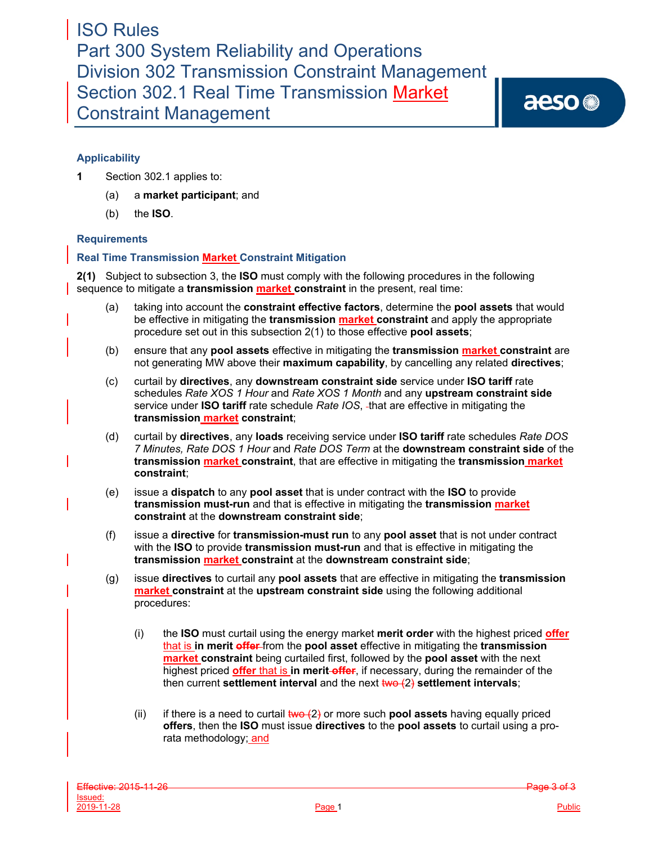ISO Rules Part 300 System Reliability and Operations Division 302 Transmission Constraint Management Section 302.1 Real Time Transmission Market Constraint Management

aeso<sup>®</sup>

## **Applicability**

- **1** Section 302.1 applies to:
	- (a) a **market participant**; and
	- (b) the **ISO**.

### **Requirements**

### **Real Time Transmission Market Constraint Mitigation**

**2(1)** Subject to subsection 3, the **ISO** must comply with the following procedures in the following sequence to mitigate a **transmission market constraint** in the present, real time:

- (a) taking into account the **constraint effective factors**, determine the **pool assets** that would be effective in mitigating the **transmission market constraint** and apply the appropriate procedure set out in this subsection 2(1) to those effective **pool assets**;
- (b) ensure that any **pool assets** effective in mitigating the **transmission market constraint** are not generating MW above their **maximum capability**, by cancelling any related **directives**;
- (c) curtail by **directives**, any **downstream constraint side** service under **ISO tariff** rate schedules *Rate XOS 1 Hour* and *Rate XOS 1 Month* and any **upstream constraint side**  service under **ISO tariff** rate schedule *Rate IOS*, that are effective in mitigating the **transmission market constraint**;
- (d) curtail by **directives**, any **loads** receiving service under **ISO tariff** rate schedules *Rate DOS 7 Minutes, Rate DOS 1 Hour* and *Rate DOS Term* at the **downstream constraint side** of the **transmission market constraint**, that are effective in mitigating the **transmission market constraint**;
- (e) issue a **dispatch** to any **pool asset** that is under contract with the **ISO** to provide **transmission must-run** and that is effective in mitigating the **transmission market constraint** at the **downstream constraint side**;
- (f) issue a **directive** for **transmission-must run** to any **pool asset** that is not under contract with the **ISO** to provide **transmission must-run** and that is effective in mitigating the **transmission market constraint** at the **downstream constraint side**;
- (g) issue **directives** to curtail any **pool assets** that are effective in mitigating the **transmission market constraint** at the **upstream constraint side** using the following additional procedures:
	- (i) the **ISO** must curtail using the energy market **merit order** with the highest priced **offer** that is **in merit offer** from the **pool asset** effective in mitigating the **transmission market constraint** being curtailed first, followed by the **pool asset** with the next highest priced **offer** that is **in merit offer**, if necessary, during the remainder of the then current **settlement interval** and the next two (2) **settlement intervals**;
	- (ii) if there is a need to curtail  $two (2)$  or more such **pool assets** having equally priced **offers**, then the **ISO** must issue **directives** to the **pool assets** to curtail using a prorata methodology; and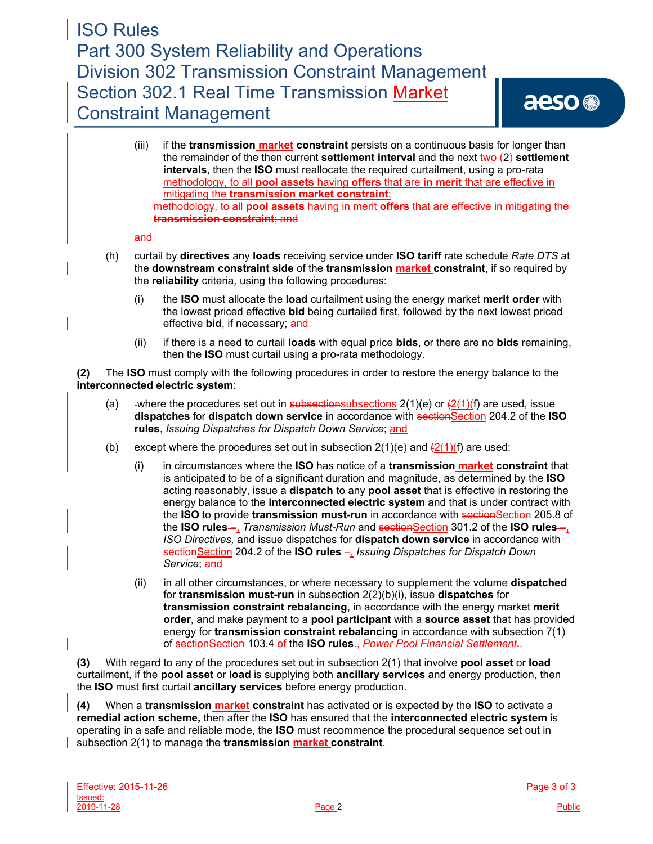(iii) if the **transmission market constraint** persists on a continuous basis for longer than the remainder of the then current **settlement interval** and the next  $\frac{iw}{2}$  settlement **intervals**, then the **ISO** must reallocate the required curtailment, using a pro-rata methodology, to all **pool assets** having **offers** that are **in merit** that are effective in mitigating the **transmission market constraint**; methodology, to all **pool assets** having in merit **offers** that are effective in mitigating the **transmission constraint**; and

#### and

- (h) curtail by **directives** any **loads** receiving service under **ISO tariff** rate schedule *Rate DTS* at the **downstream constraint side** of the **transmission market constraint**, if so required by the **reliability** criteria*,* using the following procedures:
	- (i) the **ISO** must allocate the **load** curtailment using the energy market **merit order** with the lowest priced effective **bid** being curtailed first, followed by the next lowest priced effective **bid**, if necessary; and
	- (ii) if there is a need to curtail **loads** with equal price **bids**, or there are no **bids** remaining, then the **ISO** must curtail using a pro-rata methodology.

**(2)** The **ISO** must comply with the following procedures in order to restore the energy balance to the **interconnected electric system**:

- (a) -where the procedures set out in subsectionsubsections  $2(1)(e)$  or  $\frac{2(1)}{f}$  are used, issue **dispatches for dispatch down service** in accordance with section 204.2 of the **ISO rules**, *Issuing Dispatches for Dispatch Down Service*; and
- (b) except where the procedures set out in subsection  $2(1)(e)$  and  $\frac{2(1)}{f}$  are used:
	- (i) in circumstances where the **ISO** has notice of a **transmission market constraint** that is anticipated to be of a significant duration and magnitude, as determined by the **ISO**  acting reasonably, issue a **dispatch** to any **pool asset** that is effective in restoring the energy balance to the **interconnected electric system** and that is under contract with the **ISO** to provide **transmission must-run** in accordance with sectionSection 205.8 of the **ISO rules** –, *Transmission Must-Run* and sectionSection 301.2 of the **ISO rules** –, *ISO Directives,* and issue dispatches for **dispatch down service** in accordance with sectionSection 204.2 of the **ISO rules** –, *Issuing Dispatches for Dispatch Down Service*; and
	- (ii) in all other circumstances, or where necessary to supplement the volume **dispatched** for **transmission must-run** in subsection 2(2)(b)(i), issue **dispatches** for **transmission constraint rebalancing**, in accordance with the energy market **merit order**, and make payment to a **pool participant** with a **source asset** that has provided energy for **transmission constraint rebalancing** in accordance with subsection 7(1) of sectionSection 103.4 of the ISO rules<sub><sup>1</sup></sub> Power Pool Financial Settlement.

**(3)** With regard to any of the procedures set out in subsection 2(1) that involve **pool asset** or **load** curtailment, if the **pool asset** or **load** is supplying both **ancillary services** and energy production, then the **ISO** must first curtail **ancillary services** before energy production.

**(4)** When a **transmission market constraint** has activated or is expected by the **ISO** to activate a **remedial action scheme,** then after the **ISO** has ensured that the **interconnected electric system** is operating in a safe and reliable mode, the **ISO** must recommence the procedural sequence set out in subsection 2(1) to manage the **transmission market constraint**.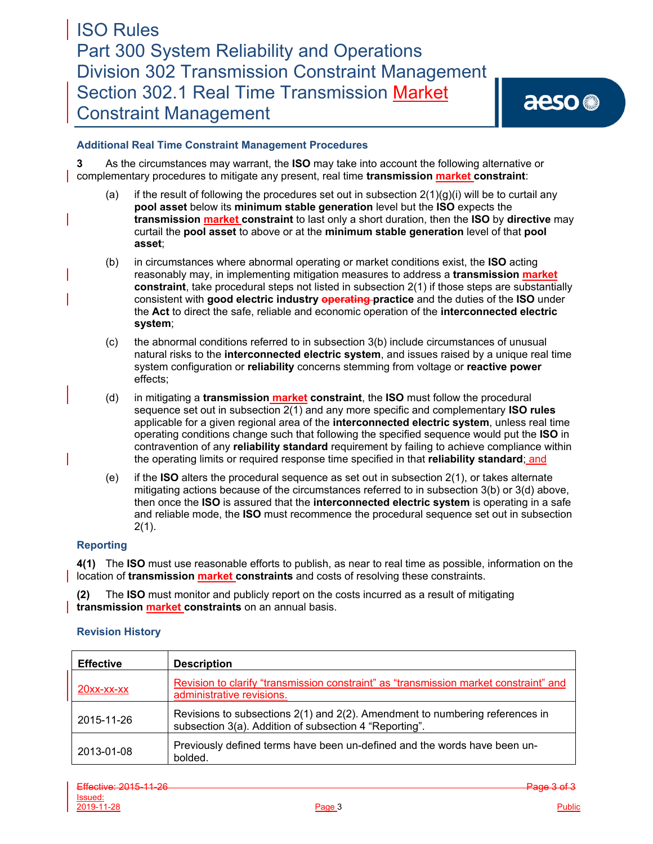### **Additional Real Time Constraint Management Procedures**

**3** As the circumstances may warrant, the **ISO** may take into account the following alternative or complementary procedures to mitigate any present, real time **transmission market constraint**:

- (a) if the result of following the procedures set out in subsection  $2(1)(q)(i)$  will be to curtail any **pool asset** below its **minimum stable generation** level but the **ISO** expects the **transmission market constraint** to last only a short duration, then the **ISO** by **directive** may curtail the **pool asset** to above or at the **minimum stable generation** level of that **pool asset**;
- (b) in circumstances where abnormal operating or market conditions exist, the **ISO** acting reasonably may, in implementing mitigation measures to address a **transmission market constraint**, take procedural steps not listed in subsection 2(1) if those steps are substantially consistent with **good electric industry operating practice** and the duties of the **ISO** under the **Act** to direct the safe, reliable and economic operation of the **interconnected electric system**;
- (c) the abnormal conditions referred to in subsection 3(b) include circumstances of unusual natural risks to the **interconnected electric system**, and issues raised by a unique real time system configuration or **reliability** concerns stemming from voltage or **reactive power** effects;
- (d) in mitigating a **transmission market constraint**, the **ISO** must follow the procedural sequence set out in subsection 2(1) and any more specific and complementary **ISO rules** applicable for a given regional area of the **interconnected electric system**, unless real time operating conditions change such that following the specified sequence would put the **ISO** in contravention of any **reliability standard** requirement by failing to achieve compliance within the operating limits or required response time specified in that **reliability standard**; and
- (e) if the **ISO** alters the procedural sequence as set out in subsection 2(1), or takes alternate mitigating actions because of the circumstances referred to in subsection 3(b) or 3(d) above, then once the **ISO** is assured that the **interconnected electric system** is operating in a safe and reliable mode, the **ISO** must recommence the procedural sequence set out in subsection 2(1).

### **Reporting**

**4(1)** The **ISO** must use reasonable efforts to publish, as near to real time as possible, information on the location of **transmission market constraints** and costs of resolving these constraints.

**(2)** The **ISO** must monitor and publicly report on the costs incurred as a result of mitigating **transmission market constraints** on an annual basis.

### **Revision History**

| <b>Effective</b>     | <b>Description</b>                                                                                                                     |
|----------------------|----------------------------------------------------------------------------------------------------------------------------------------|
| $20xx$ - $xx$ - $xx$ | Revision to clarify "transmission constraint" as "transmission market constraint" and<br>administrative revisions.                     |
| 2015-11-26           | Revisions to subsections 2(1) and 2(2). Amendment to numbering references in<br>subsection 3(a). Addition of subsection 4 "Reporting". |
| 2013-01-08           | Previously defined terms have been un-defined and the words have been un-<br>bolded.                                                   |